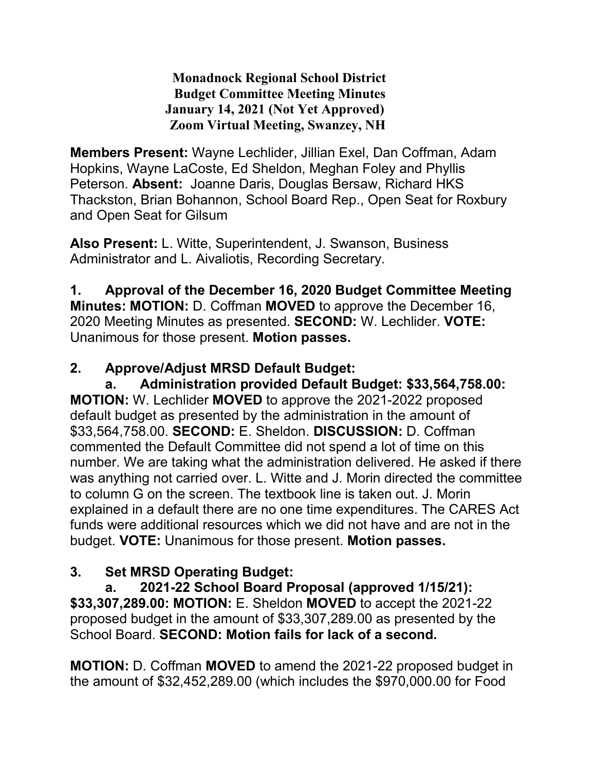**Monadnock Regional School District Budget Committee Meeting Minutes January 14, 2021 (Not Yet Approved) Zoom Virtual Meeting, Swanzey, NH**

**Members Present:** Wayne Lechlider, Jillian Exel, Dan Coffman, Adam Hopkins, Wayne LaCoste, Ed Sheldon, Meghan Foley and Phyllis Peterson. **Absent:** Joanne Daris, Douglas Bersaw, Richard HKS Thackston, Brian Bohannon, School Board Rep., Open Seat for Roxbury and Open Seat for Gilsum

**Also Present:** L. Witte, Superintendent, J. Swanson, Business Administrator and L. Aivaliotis, Recording Secretary.

**1. Approval of the December 16, 2020 Budget Committee Meeting Minutes: MOTION:** D. Coffman **MOVED** to approve the December 16, 2020 Meeting Minutes as presented. **SECOND:** W. Lechlider. **VOTE:**  Unanimous for those present. **Motion passes.** 

## **2. Approve/Adjust MRSD Default Budget:**

**a. Administration provided Default Budget: \$33,564,758.00: MOTION:** W. Lechlider **MOVED** to approve the 2021-2022 proposed default budget as presented by the administration in the amount of \$33,564,758.00. **SECOND:** E. Sheldon. **DISCUSSION:** D. Coffman commented the Default Committee did not spend a lot of time on this number. We are taking what the administration delivered. He asked if there was anything not carried over. L. Witte and J. Morin directed the committee to column G on the screen. The textbook line is taken out. J. Morin explained in a default there are no one time expenditures. The CARES Act funds were additional resources which we did not have and are not in the budget. **VOTE:** Unanimous for those present. **Motion passes.** 

## **3. Set MRSD Operating Budget:**

**a. 2021-22 School Board Proposal (approved 1/15/21): \$33,307,289.00: MOTION:** E. Sheldon **MOVED** to accept the 2021-22 proposed budget in the amount of \$33,307,289.00 as presented by the School Board. **SECOND: Motion fails for lack of a second.** 

**MOTION:** D. Coffman **MOVED** to amend the 2021-22 proposed budget in the amount of \$32,452,289.00 (which includes the \$970,000.00 for Food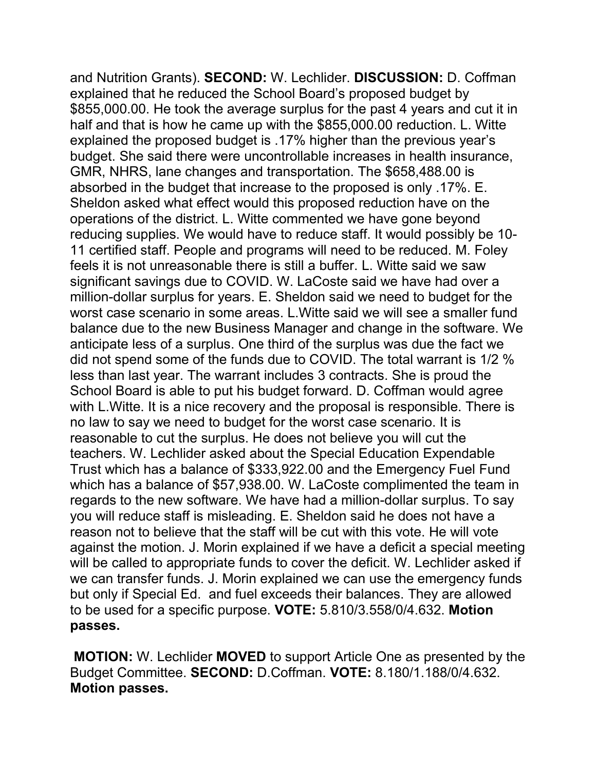and Nutrition Grants). **SECOND:** W. Lechlider. **DISCUSSION:** D. Coffman explained that he reduced the School Board's proposed budget by \$855,000.00. He took the average surplus for the past 4 years and cut it in half and that is how he came up with the \$855,000.00 reduction. L. Witte explained the proposed budget is .17% higher than the previous year's budget. She said there were uncontrollable increases in health insurance, GMR, NHRS, lane changes and transportation. The \$658,488.00 is absorbed in the budget that increase to the proposed is only .17%. E. Sheldon asked what effect would this proposed reduction have on the operations of the district. L. Witte commented we have gone beyond reducing supplies. We would have to reduce staff. It would possibly be 10- 11 certified staff. People and programs will need to be reduced. M. Foley feels it is not unreasonable there is still a buffer. L. Witte said we saw significant savings due to COVID. W. LaCoste said we have had over a million-dollar surplus for years. E. Sheldon said we need to budget for the worst case scenario in some areas. L.Witte said we will see a smaller fund balance due to the new Business Manager and change in the software. We anticipate less of a surplus. One third of the surplus was due the fact we did not spend some of the funds due to COVID. The total warrant is 1/2 % less than last year. The warrant includes 3 contracts. She is proud the School Board is able to put his budget forward. D. Coffman would agree with L.Witte. It is a nice recovery and the proposal is responsible. There is no law to say we need to budget for the worst case scenario. It is reasonable to cut the surplus. He does not believe you will cut the teachers. W. Lechlider asked about the Special Education Expendable Trust which has a balance of \$333,922.00 and the Emergency Fuel Fund which has a balance of \$57,938.00. W. LaCoste complimented the team in regards to the new software. We have had a million-dollar surplus. To say you will reduce staff is misleading. E. Sheldon said he does not have a reason not to believe that the staff will be cut with this vote. He will vote against the motion. J. Morin explained if we have a deficit a special meeting will be called to appropriate funds to cover the deficit. W. Lechlider asked if we can transfer funds. J. Morin explained we can use the emergency funds but only if Special Ed. and fuel exceeds their balances. They are allowed to be used for a specific purpose. **VOTE:** 5.810/3.558/0/4.632. **Motion passes.**

**MOTION:** W. Lechlider **MOVED** to support Article One as presented by the Budget Committee. **SECOND:** D.Coffman. **VOTE:** 8.180/1.188/0/4.632. **Motion passes.**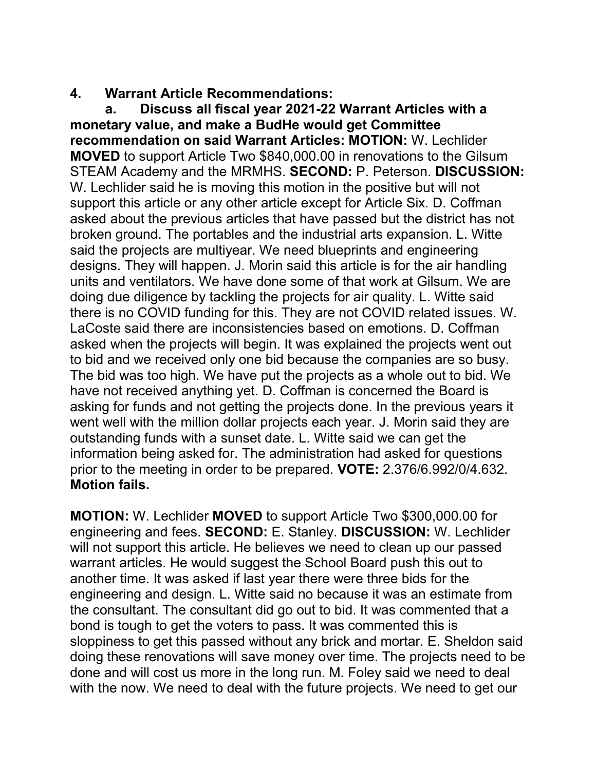#### **4. Warrant Article Recommendations:**

**a. Discuss all fiscal year 2021-22 Warrant Articles with a monetary value, and make a BudHe would get Committee recommendation on said Warrant Articles: MOTION:** W. Lechlider **MOVED** to support Article Two \$840,000.00 in renovations to the Gilsum STEAM Academy and the MRMHS. **SECOND:** P. Peterson. **DISCUSSION:** W. Lechlider said he is moving this motion in the positive but will not support this article or any other article except for Article Six. D. Coffman asked about the previous articles that have passed but the district has not broken ground. The portables and the industrial arts expansion. L. Witte said the projects are multiyear. We need blueprints and engineering designs. They will happen. J. Morin said this article is for the air handling units and ventilators. We have done some of that work at Gilsum. We are doing due diligence by tackling the projects for air quality. L. Witte said there is no COVID funding for this. They are not COVID related issues. W. LaCoste said there are inconsistencies based on emotions. D. Coffman asked when the projects will begin. It was explained the projects went out to bid and we received only one bid because the companies are so busy. The bid was too high. We have put the projects as a whole out to bid. We have not received anything yet. D. Coffman is concerned the Board is asking for funds and not getting the projects done. In the previous years it went well with the million dollar projects each year. J. Morin said they are outstanding funds with a sunset date. L. Witte said we can get the information being asked for. The administration had asked for questions prior to the meeting in order to be prepared. **VOTE:** 2.376/6.992/0/4.632. **Motion fails.** 

**MOTION:** W. Lechlider **MOVED** to support Article Two \$300,000.00 for engineering and fees. **SECOND:** E. Stanley. **DISCUSSION:** W. Lechlider will not support this article. He believes we need to clean up our passed warrant articles. He would suggest the School Board push this out to another time. It was asked if last year there were three bids for the engineering and design. L. Witte said no because it was an estimate from the consultant. The consultant did go out to bid. It was commented that a bond is tough to get the voters to pass. It was commented this is sloppiness to get this passed without any brick and mortar. E. Sheldon said doing these renovations will save money over time. The projects need to be done and will cost us more in the long run. M. Foley said we need to deal with the now. We need to deal with the future projects. We need to get our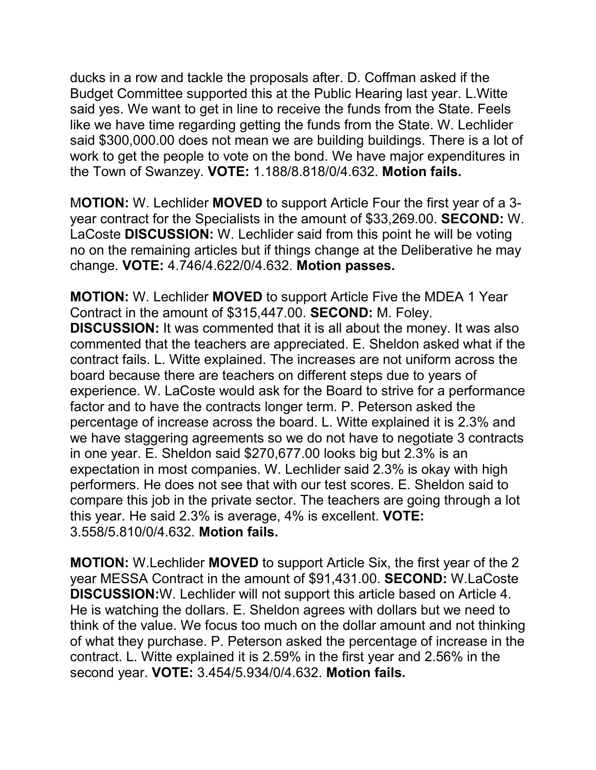ducks in a row and tackle the proposals after. D. Coffman asked if the Budget Committee supported this at the Public Hearing last year. L.Witte said yes. We want to get in line to receive the funds from the State. Feels like we have time regarding getting the funds from the State. W. Lechlider said \$300,000.00 does not mean we are building buildings. There is a lot of work to get the people to vote on the bond. We have major expenditures in the Town of Swanzey. **VOTE:** 1.188/8.818/0/4.632. **Motion fails.** 

M**OTION:** W. Lechlider **MOVED** to support Article Four the first year of a 3 year contract for the Specialists in the amount of \$33,269.00. **SECOND:** W. LaCoste **DISCUSSION:** W. Lechlider said from this point he will be voting no on the remaining articles but if things change at the Deliberative he may change. **VOTE:** 4.746/4.622/0/4.632. **Motion passes.** 

**MOTION:** W. Lechlider **MOVED** to support Article Five the MDEA 1 Year Contract in the amount of \$315,447.00. **SECOND:** M. Foley. **DISCUSSION:** It was commented that it is all about the money. It was also commented that the teachers are appreciated. E. Sheldon asked what if the contract fails. L. Witte explained. The increases are not uniform across the board because there are teachers on different steps due to years of experience. W. LaCoste would ask for the Board to strive for a performance factor and to have the contracts longer term. P. Peterson asked the percentage of increase across the board. L. Witte explained it is 2.3% and we have staggering agreements so we do not have to negotiate 3 contracts in one year. E. Sheldon said \$270,677.00 looks big but 2.3% is an expectation in most companies. W. Lechlider said 2.3% is okay with high performers. He does not see that with our test scores. E. Sheldon said to compare this job in the private sector. The teachers are going through a lot this year. He said 2.3% is average, 4% is excellent. **VOTE:**  3.558/5.810/0/4.632. **Motion fails.** 

**MOTION:** W.Lechlider **MOVED** to support Article Six, the first year of the 2 year MESSA Contract in the amount of \$91,431.00. **SECOND:** W.LaCoste **DISCUSSION:**W. Lechlider will not support this article based on Article 4. He is watching the dollars. E. Sheldon agrees with dollars but we need to think of the value. We focus too much on the dollar amount and not thinking of what they purchase. P. Peterson asked the percentage of increase in the contract. L. Witte explained it is 2.59% in the first year and 2.56% in the second year. **VOTE:** 3.454/5.934/0/4.632. **Motion fails.**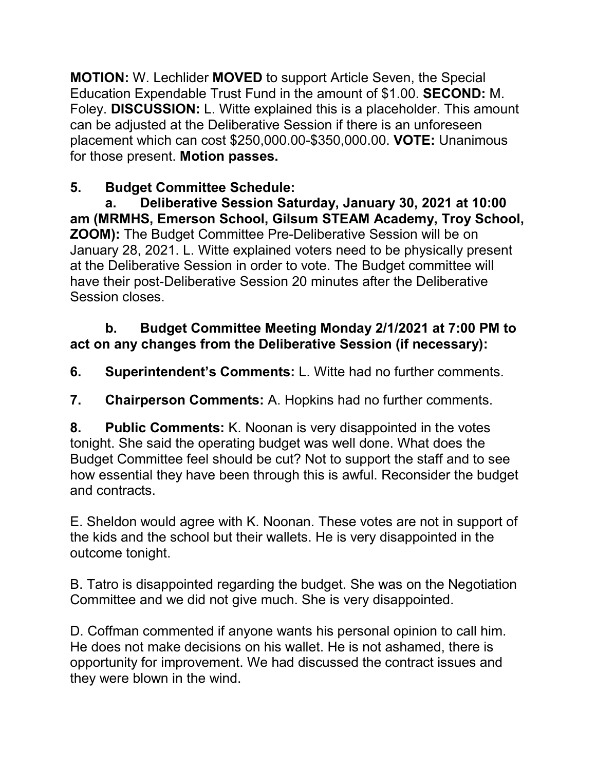**MOTION:** W. Lechlider **MOVED** to support Article Seven, the Special Education Expendable Trust Fund in the amount of \$1.00. **SECOND:** M. Foley. **DISCUSSION:** L. Witte explained this is a placeholder. This amount can be adjusted at the Deliberative Session if there is an unforeseen placement which can cost \$250,000.00-\$350,000.00. **VOTE:** Unanimous for those present. **Motion passes.** 

# **5. Budget Committee Schedule:**

**a. Deliberative Session Saturday, January 30, 2021 at 10:00 am (MRMHS, Emerson School, Gilsum STEAM Academy, Troy School, ZOOM):** The Budget Committee Pre-Deliberative Session will be on January 28, 2021. L. Witte explained voters need to be physically present at the Deliberative Session in order to vote. The Budget committee will have their post-Deliberative Session 20 minutes after the Deliberative Session closes.

## **b. Budget Committee Meeting Monday 2/1/2021 at 7:00 PM to act on any changes from the Deliberative Session (if necessary):**

**6. Superintendent's Comments:** L. Witte had no further comments.

**7. Chairperson Comments:** A. Hopkins had no further comments.

**8. Public Comments:** K. Noonan is very disappointed in the votes tonight. She said the operating budget was well done. What does the Budget Committee feel should be cut? Not to support the staff and to see how essential they have been through this is awful. Reconsider the budget and contracts.

E. Sheldon would agree with K. Noonan. These votes are not in support of the kids and the school but their wallets. He is very disappointed in the outcome tonight.

B. Tatro is disappointed regarding the budget. She was on the Negotiation Committee and we did not give much. She is very disappointed.

D. Coffman commented if anyone wants his personal opinion to call him. He does not make decisions on his wallet. He is not ashamed, there is opportunity for improvement. We had discussed the contract issues and they were blown in the wind.